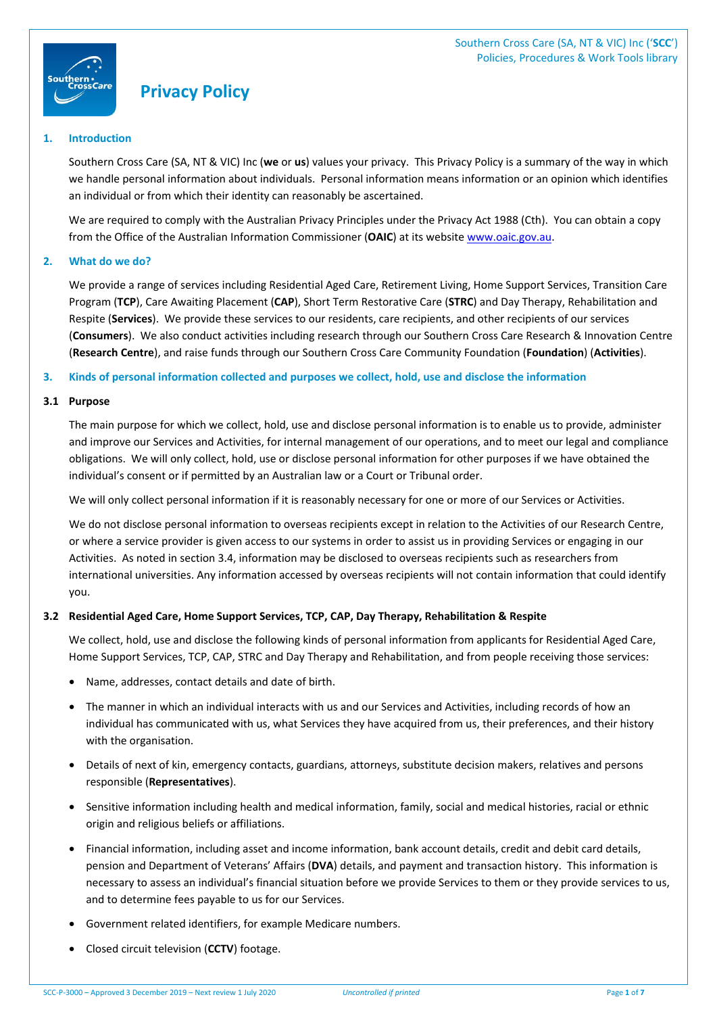

# **Privacy Policy**

## **1. Introduction**

Southern Cross Care (SA, NT & VIC) Inc (**we** or **us**) values your privacy. This Privacy Policy is a summary of the way in which we handle personal information about individuals. Personal information means information or an opinion which identifies an individual or from which their identity can reasonably be ascertained.

We are required to comply with the Australian Privacy Principles under the Privacy Act 1988 (Cth). You can obtain a copy from the Office of the Australian Information Commissioner (**OAIC**) at its website www.oaic.gov.au.

## **2. What do we do?**

We provide a range of services including Residential Aged Care, Retirement Living, Home Support Services, Transition Care Program (**TCP**), Care Awaiting Placement (**CAP**), Short Term Restorative Care (**STRC**) and Day Therapy, Rehabilitation and Respite (**Services**). We provide these services to our residents, care recipients, and other recipients of our services (**Consumers**). We also conduct activities including research through our Southern Cross Care Research & Innovation Centre (**Research Centre**), and raise funds through our Southern Cross Care Community Foundation (**Foundation**) (**Activities**).

## **3. Kinds of personal information collected and purposes we collect, hold, use and disclose the information**

## **3.1 Purpose**

The main purpose for which we collect, hold, use and disclose personal information is to enable us to provide, administer and improve our Services and Activities, for internal management of our operations, and to meet our legal and compliance obligations. We will only collect, hold, use or disclose personal information for other purposes if we have obtained the individual's consent or if permitted by an Australian law or a Court or Tribunal order.

We will only collect personal information if it is reasonably necessary for one or more of our Services or Activities.

We do not disclose personal information to overseas recipients except in relation to the Activities of our Research Centre, or where a service provider is given access to our systems in order to assist us in providing Services or engaging in our Activities. As noted in section 3.4, information may be disclosed to overseas recipients such as researchers from international universities. Any information accessed by overseas recipients will not contain information that could identify you.

# **3.2 Residential Aged Care, Home Support Services, TCP, CAP, Day Therapy, Rehabilitation & Respite**

We collect, hold, use and disclose the following kinds of personal information from applicants for Residential Aged Care, Home Support Services, TCP, CAP, STRC and Day Therapy and Rehabilitation, and from people receiving those services:

- Name, addresses, contact details and date of birth.
- The manner in which an individual interacts with us and our Services and Activities, including records of how an individual has communicated with us, what Services they have acquired from us, their preferences, and their history with the organisation.
- Details of next of kin, emergency contacts, guardians, attorneys, substitute decision makers, relatives and persons responsible (**Representatives**).
- Sensitive information including health and medical information, family, social and medical histories, racial or ethnic origin and religious beliefs or affiliations.
- Financial information, including asset and income information, bank account details, credit and debit card details, pension and Department of Veterans' Affairs (**DVA**) details, and payment and transaction history. This information is necessary to assess an individual's financial situation before we provide Services to them or they provide services to us, and to determine fees payable to us for our Services.
- Government related identifiers, for example Medicare numbers.
- Closed circuit television (**CCTV**) footage.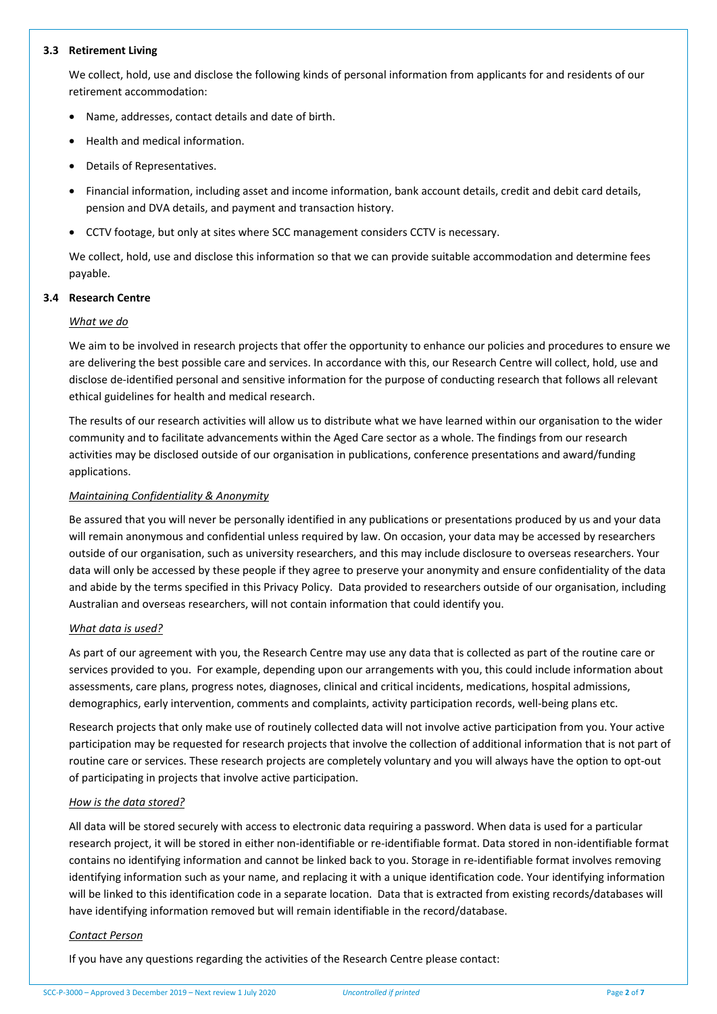#### **3.3 Retirement Living**

We collect, hold, use and disclose the following kinds of personal information from applicants for and residents of our retirement accommodation:

- Name, addresses, contact details and date of birth.
- Health and medical information.
- Details of Representatives.
- Financial information, including asset and income information, bank account details, credit and debit card details, pension and DVA details, and payment and transaction history.
- CCTV footage, but only at sites where SCC management considers CCTV is necessary.

We collect, hold, use and disclose this information so that we can provide suitable accommodation and determine fees payable.

## **3.4 Research Centre**

## *What we do*

We aim to be involved in research projects that offer the opportunity to enhance our policies and procedures to ensure we are delivering the best possible care and services. In accordance with this, our Research Centre will collect, hold, use and disclose de-identified personal and sensitive information for the purpose of conducting research that follows all relevant ethical guidelines for health and medical research.

The results of our research activities will allow us to distribute what we have learned within our organisation to the wider community and to facilitate advancements within the Aged Care sector as a whole. The findings from our research activities may be disclosed outside of our organisation in publications, conference presentations and award/funding applications.

## *Maintaining Confidentiality & Anonymity*

Be assured that you will never be personally identified in any publications or presentations produced by us and your data will remain anonymous and confidential unless required by law. On occasion, your data may be accessed by researchers outside of our organisation, such as university researchers, and this may include disclosure to overseas researchers. Your data will only be accessed by these people if they agree to preserve your anonymity and ensure confidentiality of the data and abide by the terms specified in this Privacy Policy. Data provided to researchers outside of our organisation, including Australian and overseas researchers, will not contain information that could identify you.

## *What data is used?*

As part of our agreement with you, the Research Centre may use any data that is collected as part of the routine care or services provided to you. For example, depending upon our arrangements with you, this could include information about assessments, care plans, progress notes, diagnoses, clinical and critical incidents, medications, hospital admissions, demographics, early intervention, comments and complaints, activity participation records, well-being plans etc.

Research projects that only make use of routinely collected data will not involve active participation from you. Your active participation may be requested for research projects that involve the collection of additional information that is not part of routine care or services. These research projects are completely voluntary and you will always have the option to opt-out of participating in projects that involve active participation.

## *How is the data stored?*

All data will be stored securely with access to electronic data requiring a password. When data is used for a particular research project, it will be stored in either non-identifiable or re-identifiable format. Data stored in non-identifiable format contains no identifying information and cannot be linked back to you. Storage in re-identifiable format involves removing identifying information such as your name, and replacing it with a unique identification code. Your identifying information will be linked to this identification code in a separate location. Data that is extracted from existing records/databases will have identifying information removed but will remain identifiable in the record/database.

## *Contact Person*

If you have any questions regarding the activities of the Research Centre please contact: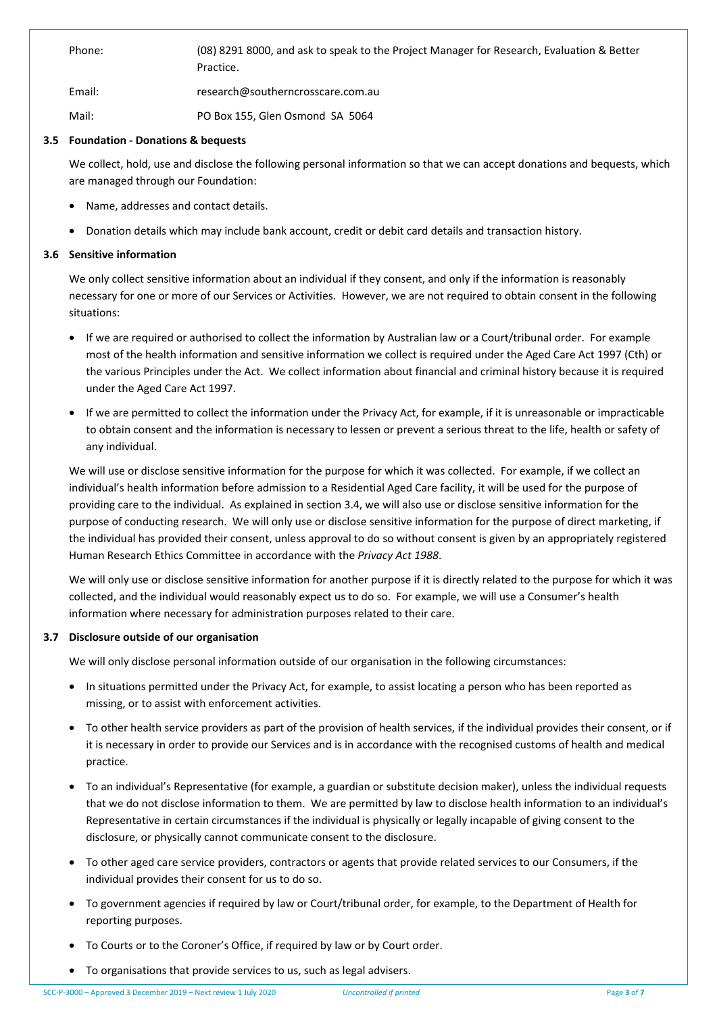Phone: (08) 8291 8000, and ask to speak to the Project Manager for Research, Evaluation & Better Practice.

Email: research@southerncrosscare.com.au

Mail: PO Box 155, Glen Osmond SA 5064

## **3.5 Foundation - Donations & bequests**

We collect, hold, use and disclose the following personal information so that we can accept donations and bequests, which are managed through our Foundation:

- Name, addresses and contact details.
- Donation details which may include bank account, credit or debit card details and transaction history.

## **3.6 Sensitive information**

We only collect sensitive information about an individual if they consent, and only if the information is reasonably necessary for one or more of our Services or Activities. However, we are not required to obtain consent in the following situations:

- If we are required or authorised to collect the information by Australian law or a Court/tribunal order. For example most of the health information and sensitive information we collect is required under the Aged Care Act 1997 (Cth) or the various Principles under the Act. We collect information about financial and criminal history because it is required under the Aged Care Act 1997.
- If we are permitted to collect the information under the Privacy Act, for example, if it is unreasonable or impracticable to obtain consent and the information is necessary to lessen or prevent a serious threat to the life, health or safety of any individual.

We will use or disclose sensitive information for the purpose for which it was collected. For example, if we collect an individual's health information before admission to a Residential Aged Care facility, it will be used for the purpose of providing care to the individual. As explained in section 3.4, we will also use or disclose sensitive information for the purpose of conducting research. We will only use or disclose sensitive information for the purpose of direct marketing, if the individual has provided their consent, unless approval to do so without consent is given by an appropriately registered Human Research Ethics Committee in accordance with the *Privacy Act 1988*.

We will only use or disclose sensitive information for another purpose if it is directly related to the purpose for which it was collected, and the individual would reasonably expect us to do so. For example, we will use a Consumer's health information where necessary for administration purposes related to their care.

# **3.7 Disclosure outside of our organisation**

We will only disclose personal information outside of our organisation in the following circumstances:

- In situations permitted under the Privacy Act, for example, to assist locating a person who has been reported as missing, or to assist with enforcement activities.
- To other health service providers as part of the provision of health services, if the individual provides their consent, or if it is necessary in order to provide our Services and is in accordance with the recognised customs of health and medical practice.
- To an individual's Representative (for example, a guardian or substitute decision maker), unless the individual requests that we do not disclose information to them. We are permitted by law to disclose health information to an individual's Representative in certain circumstances if the individual is physically or legally incapable of giving consent to the disclosure, or physically cannot communicate consent to the disclosure.
- To other aged care service providers, contractors or agents that provide related services to our Consumers, if the individual provides their consent for us to do so.
- To government agencies if required by law or Court/tribunal order, for example, to the Department of Health for reporting purposes.
- To Courts or to the Coroner's Office, if required by law or by Court order.
- To organisations that provide services to us, such as legal advisers.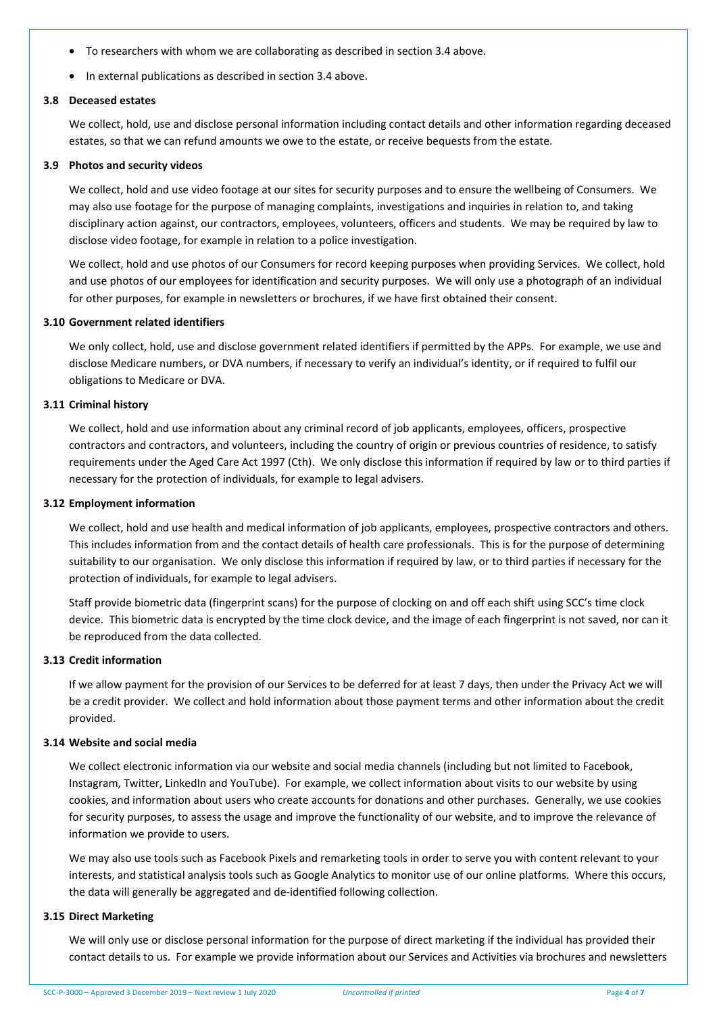- To researchers with whom we are collaborating as described in section 3.4 above.
- In external publications as described in section 3.4 above.

#### **3.8 Deceased estates**

We collect, hold, use and disclose personal information including contact details and other information regarding deceased estates, so that we can refund amounts we owe to the estate, or receive bequests from the estate.

#### **3.9 Photos and security videos**

We collect, hold and use video footage at our sites for security purposes and to ensure the wellbeing of Consumers. We may also use footage for the purpose of managing complaints, investigations and inquiries in relation to, and taking disciplinary action against, our contractors, employees, volunteers, officers and students. We may be required by law to disclose video footage, for example in relation to a police investigation.

We collect, hold and use photos of our Consumers for record keeping purposes when providing Services. We collect, hold and use photos of our employees for identification and security purposes. We will only use a photograph of an individual for other purposes, for example in newsletters or brochures, if we have first obtained their consent.

## **3.10 Government related identifiers**

We only collect, hold, use and disclose government related identifiers if permitted by the APPs. For example, we use and disclose Medicare numbers, or DVA numbers, if necessary to verify an individual's identity, or if required to fulfil our obligations to Medicare or DVA.

#### **3.11 Criminal history**

We collect, hold and use information about any criminal record of job applicants, employees, officers, prospective contractors and contractors, and volunteers, including the country of origin or previous countries of residence, to satisfy requirements under the Aged Care Act 1997 (Cth). We only disclose this information if required by law or to third parties if necessary for the protection of individuals, for example to legal advisers.

#### **3.12 Employment information**

We collect, hold and use health and medical information of job applicants, employees, prospective contractors and others. This includes information from and the contact details of health care professionals. This is for the purpose of determining suitability to our organisation. We only disclose this information if required by law, or to third parties if necessary for the protection of individuals, for example to legal advisers.

Staff provide biometric data (fingerprint scans) for the purpose of clocking on and off each shift using SCC's time clock device. This biometric data is encrypted by the time clock device, and the image of each fingerprint is not saved, nor can it be reproduced from the data collected.

#### **3.13 Credit information**

If we allow payment for the provision of our Services to be deferred for at least 7 days, then under the Privacy Act we will be a credit provider. We collect and hold information about those payment terms and other information about the credit provided.

## **3.14 Website and social media**

We collect electronic information via our website and social media channels (including but not limited to Facebook, Instagram, Twitter, LinkedIn and YouTube). For example, we collect information about visits to our website by using cookies, and information about users who create accounts for donations and other purchases. Generally, we use cookies for security purposes, to assess the usage and improve the functionality of our website, and to improve the relevance of information we provide to users.

We may also use tools such as Facebook Pixels and remarketing tools in order to serve you with content relevant to your interests, and statistical analysis tools such as Google Analytics to monitor use of our online platforms. Where this occurs, the data will generally be aggregated and de-identified following collection.

#### **3.15 Direct Marketing**

We will only use or disclose personal information for the purpose of direct marketing if the individual has provided their contact details to us. For example we provide information about our Services and Activities via brochures and newsletters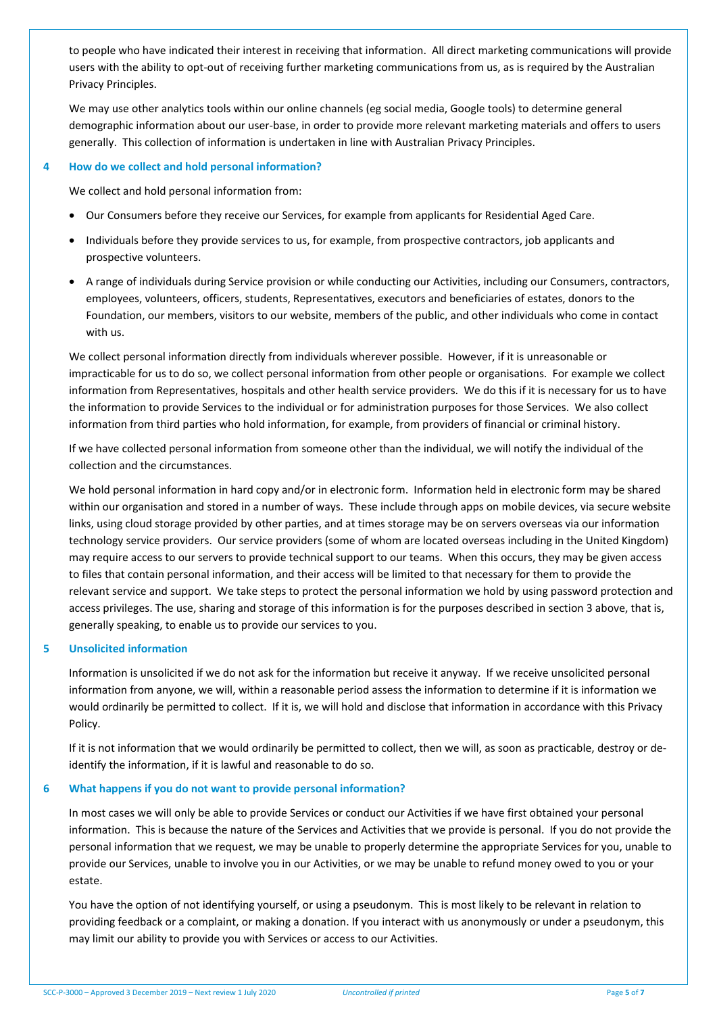to people who have indicated their interest in receiving that information. All direct marketing communications will provide users with the ability to opt-out of receiving further marketing communications from us, as is required by the Australian Privacy Principles.

We may use other analytics tools within our online channels (eg social media, Google tools) to determine general demographic information about our user-base, in order to provide more relevant marketing materials and offers to users generally. This collection of information is undertaken in line with Australian Privacy Principles.

## **4 How do we collect and hold personal information?**

We collect and hold personal information from:

- Our Consumers before they receive our Services, for example from applicants for Residential Aged Care.
- Individuals before they provide services to us, for example, from prospective contractors, job applicants and prospective volunteers.
- A range of individuals during Service provision or while conducting our Activities, including our Consumers, contractors, employees, volunteers, officers, students, Representatives, executors and beneficiaries of estates, donors to the Foundation, our members, visitors to our website, members of the public, and other individuals who come in contact with us.

We collect personal information directly from individuals wherever possible. However, if it is unreasonable or impracticable for us to do so, we collect personal information from other people or organisations. For example we collect information from Representatives, hospitals and other health service providers. We do this if it is necessary for us to have the information to provide Services to the individual or for administration purposes for those Services. We also collect information from third parties who hold information, for example, from providers of financial or criminal history.

If we have collected personal information from someone other than the individual, we will notify the individual of the collection and the circumstances.

We hold personal information in hard copy and/or in electronic form. Information held in electronic form may be shared within our organisation and stored in a number of ways. These include through apps on mobile devices, via secure website links, using cloud storage provided by other parties, and at times storage may be on servers overseas via our information technology service providers. Our service providers (some of whom are located overseas including in the United Kingdom) may require access to our servers to provide technical support to our teams. When this occurs, they may be given access to files that contain personal information, and their access will be limited to that necessary for them to provide the relevant service and support. We take steps to protect the personal information we hold by using password protection and access privileges. The use, sharing and storage of this information is for the purposes described in section 3 above, that is, generally speaking, to enable us to provide our services to you.

# **5 Unsolicited information**

Information is unsolicited if we do not ask for the information but receive it anyway. If we receive unsolicited personal information from anyone, we will, within a reasonable period assess the information to determine if it is information we would ordinarily be permitted to collect. If it is, we will hold and disclose that information in accordance with this Privacy Policy.

If it is not information that we would ordinarily be permitted to collect, then we will, as soon as practicable, destroy or deidentify the information, if it is lawful and reasonable to do so.

## **6 What happens if you do not want to provide personal information?**

In most cases we will only be able to provide Services or conduct our Activities if we have first obtained your personal information. This is because the nature of the Services and Activities that we provide is personal. If you do not provide the personal information that we request, we may be unable to properly determine the appropriate Services for you, unable to provide our Services, unable to involve you in our Activities, or we may be unable to refund money owed to you or your estate.

You have the option of not identifying yourself, or using a pseudonym. This is most likely to be relevant in relation to providing feedback or a complaint, or making a donation. If you interact with us anonymously or under a pseudonym, this may limit our ability to provide you with Services or access to our Activities.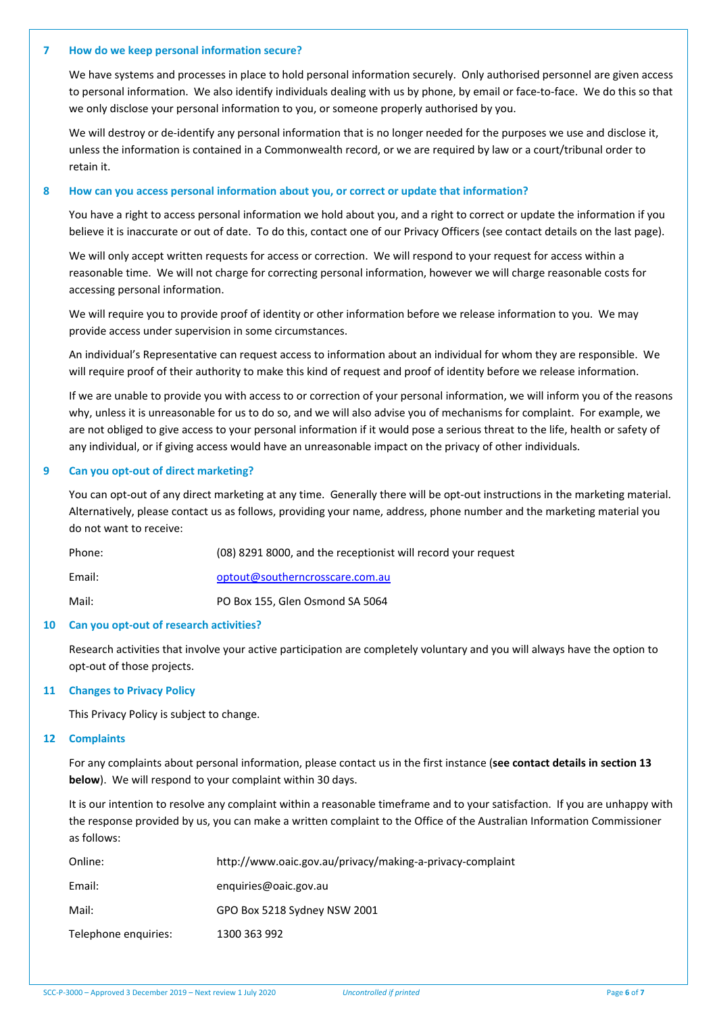#### **7 How do we keep personal information secure?**

We have systems and processes in place to hold personal information securely. Only authorised personnel are given access to personal information. We also identify individuals dealing with us by phone, by email or face-to-face. We do this so that we only disclose your personal information to you, or someone properly authorised by you.

We will destroy or de-identify any personal information that is no longer needed for the purposes we use and disclose it, unless the information is contained in a Commonwealth record, or we are required by law or a court/tribunal order to retain it.

#### **8 How can you access personal information about you, or correct or update that information?**

You have a right to access personal information we hold about you, and a right to correct or update the information if you believe it is inaccurate or out of date. To do this, contact one of our Privacy Officers (see contact details on the last page).

We will only accept written requests for access or correction. We will respond to your request for access within a reasonable time. We will not charge for correcting personal information, however we will charge reasonable costs for accessing personal information.

We will require you to provide proof of identity or other information before we release information to you. We may provide access under supervision in some circumstances.

An individual's Representative can request access to information about an individual for whom they are responsible. We will require proof of their authority to make this kind of request and proof of identity before we release information.

If we are unable to provide you with access to or correction of your personal information, we will inform you of the reasons why, unless it is unreasonable for us to do so, and we will also advise you of mechanisms for complaint. For example, we are not obliged to give access to your personal information if it would pose a serious threat to the life, health or safety of any individual, or if giving access would have an unreasonable impact on the privacy of other individuals.

## **9 Can you opt-out of direct marketing?**

You can opt-out of any direct marketing at any time. Generally there will be opt-out instructions in the marketing material. Alternatively, please contact us as follows, providing your name, address, phone number and the marketing material you do not want to receive:

| Phone: | (08) 8291 8000, and the receptionist will record your request |
|--------|---------------------------------------------------------------|
| Email: | optout@southerncrosscare.com.au                               |
| Mail:  | PO Box 155, Glen Osmond SA 5064                               |

#### **10 Can you opt-out of research activities?**

Research activities that involve your active participation are completely voluntary and you will always have the option to opt-out of those projects.

## **11 Changes to Privacy Policy**

This Privacy Policy is subject to change.

#### **12 Complaints**

For any complaints about personal information, please contact us in the first instance (**see contact details in section 13 below**). We will respond to your complaint within 30 days.

It is our intention to resolve any complaint within a reasonable timeframe and to your satisfaction. If you are unhappy with the response provided by us, you can make a written complaint to the Office of the Australian Information Commissioner as follows:

| Online:              | http://www.oaic.gov.au/privacy/making-a-privacy-complaint |
|----------------------|-----------------------------------------------------------|
| Email:               | enguiries@oaic.gov.au                                     |
| Mail:                | GPO Box 5218 Sydney NSW 2001                              |
| Telephone enquiries: | 1300 363 992                                              |